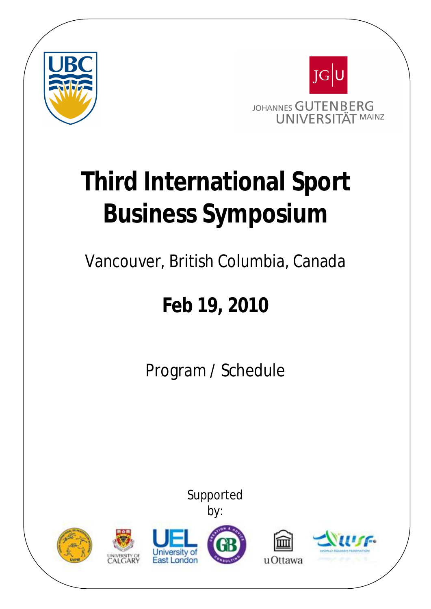



# **Third International Sport Business Symposium**

## Vancouver, British Columbia, Canada

# **Feb 19, 2010**

Program / Schedule

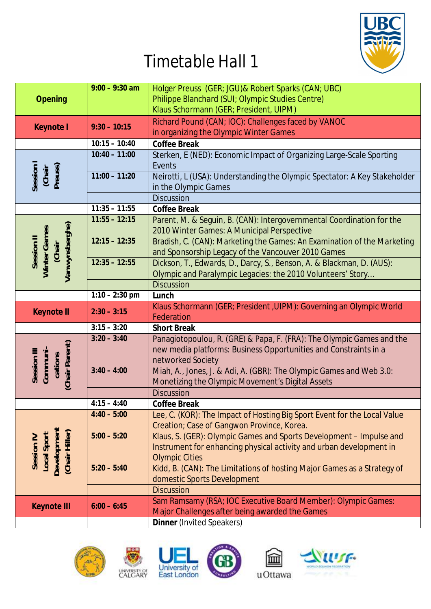

## *Timetable Hall 1*

|                                                                       | $9:00 - 9:30$ am | Holger Preuss (GER; JGU)& Robert Sparks (CAN; UBC)                                                                  |
|-----------------------------------------------------------------------|------------------|---------------------------------------------------------------------------------------------------------------------|
| Opening                                                               |                  | Philippe Blanchard (SUI; Olympic Studies Centre)                                                                    |
|                                                                       |                  | Klaus Schormann (GER; President, UIPM)                                                                              |
| Keynote I                                                             | $9:30 - 10:15$   | Richard Pound (CAN; IOC): Challenges faced by VANOC                                                                 |
|                                                                       |                  | in organizing the Olympic Winter Games                                                                              |
|                                                                       | $10:15 - 10:40$  | <b>Coffee Break</b>                                                                                                 |
| Session I<br>(Chair<br>Preuss)                                        | $10:40 - 11:00$  | Sterken, E (NED): Economic Impact of Organizing Large-Scale Sporting                                                |
|                                                                       |                  | Events                                                                                                              |
|                                                                       | $11:00 - 11:20$  | Neirotti, L (USA): Understanding the Olympic Spectator: A Key Stakeholder                                           |
|                                                                       |                  | in the Olympic Games                                                                                                |
|                                                                       |                  | <b>Discussion</b>                                                                                                   |
|                                                                       | $11:35 - 11:55$  | Coffee Break                                                                                                        |
| Vanwynsberghe)<br>Session II<br>Winter Games<br>(Chair                | $11:55 - 12:15$  | Parent, M. & Seguin, B. (CAN): Intergovernmental Coordination for the<br>2010 Winter Games: A Municipal Perspective |
|                                                                       | $12:15 - 12:35$  | Bradish, C. (CAN): Marketing the Games: An Examination of the Marketing                                             |
|                                                                       |                  | and Sponsorship Legacy of the Vancouver 2010 Games                                                                  |
|                                                                       | $12:35 - 12:55$  | Dickson, T., Edwards, D., Darcy, S., Benson, A. & Blackman, D. (AUS):                                               |
|                                                                       |                  | Olympic and Paralympic Legacies: the 2010 Volunteers' Story                                                         |
|                                                                       |                  | <b>Discussion</b>                                                                                                   |
|                                                                       | $1:10 - 2:30$ pm | Lunch                                                                                                               |
| <b>Keynote II</b>                                                     | $2:30 - 3:15$    | Klaus Schormann (GER; President , UIPM): Governing an Olympic World<br>Federation                                   |
|                                                                       | $3:15 - 3:20$    | <b>Short Break</b>                                                                                                  |
|                                                                       | $3:20 - 3:40$    | Panagiotopoulou, R. (GRE) & Papa, F. (FRA): The Olympic Games and the                                               |
|                                                                       |                  | new media platforms: Business Opportunities and Constraints in a                                                    |
|                                                                       |                  | networked Society                                                                                                   |
| Session III<br>Communi                                                | $3:40 - 4:00$    | Miah, A., Jones, J. & Adi, A. (GBR): The Olympic Games and Web 3.0:                                                 |
| cations<br>(Chair Parent)                                             |                  |                                                                                                                     |
|                                                                       |                  | Monetizing the Olympic Movement's Digital Assets                                                                    |
|                                                                       |                  | <b>Discussion</b>                                                                                                   |
|                                                                       | $4:15 - 4:40$    | Coffee Break                                                                                                        |
|                                                                       | $4:40 - 5:00$    | Lee, C. (KOR): The Impact of Hosting Big Sport Event for the Local Value                                            |
|                                                                       |                  | Creation; Case of Gangwon Province, Korea.                                                                          |
|                                                                       | $5:00 - 5:20$    | Klaus, S. (GER): Olympic Games and Sports Development - Impulse and                                                 |
|                                                                       |                  | Instrument for enhancing physical activity and urban development in                                                 |
|                                                                       |                  | <b>Olympic Cities</b>                                                                                               |
| Local Sport<br>Development<br>(Chair Hiller)<br>Session <sub>IV</sub> | $5:20 - 5:40$    | Kidd, B. (CAN): The Limitations of hosting Major Games as a Strategy of                                             |
|                                                                       |                  | domestic Sports Development                                                                                         |
|                                                                       |                  | <b>Discussion</b>                                                                                                   |
| <b>Keynote III</b>                                                    | $6:00 - 6:45$    | Sam Ramsamy (RSA; IOC Executive Board Member): Olympic Games:                                                       |
|                                                                       |                  | Major Challenges after being awarded the Games<br>Dinner (Invited Speakers)                                         |











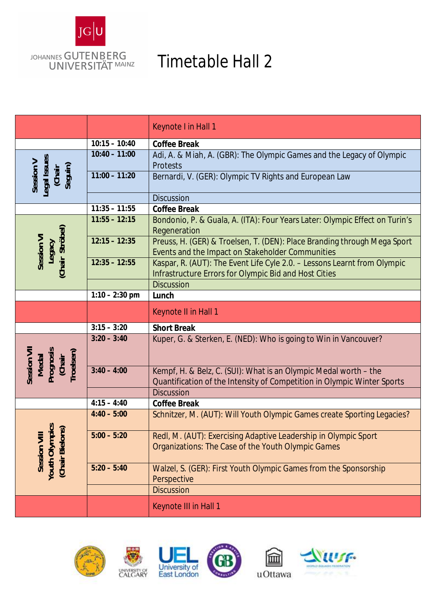

### *Timetable Hall 2*

|                                                                                 |                  | Keynote I in Hall 1                                                                                                                         |
|---------------------------------------------------------------------------------|------------------|---------------------------------------------------------------------------------------------------------------------------------------------|
|                                                                                 | $10:15 - 10:40$  | <b>Coffee Break</b>                                                                                                                         |
| Session V<br>Legal Issues<br>(Chair<br>Seguin)                                  | $10:40 - 11:00$  | Adi, A. & Miah, A. (GBR): The Olympic Games and the Legacy of Olympic<br><b>Protests</b>                                                    |
|                                                                                 | $11:00 - 11:20$  | Bernardi, V. (GER): Olympic TV Rights and European Law                                                                                      |
|                                                                                 |                  | <b>Discussion</b>                                                                                                                           |
|                                                                                 | $11:35 - 11:55$  | Coffee Break                                                                                                                                |
| Session VI<br>Legacy<br>(Chair Ströbel)                                         | $11:55 - 12:15$  | Bondonio, P. & Guala, A. (ITA): Four Years Later: Olympic Effect on Turin's<br>Regeneration                                                 |
|                                                                                 | $12:15 - 12:35$  | Preuss, H. (GER) & Troelsen, T. (DEN): Place Branding through Mega Sport<br>Events and the Impact on Stakeholder Communities                |
|                                                                                 | $12:35 - 12:55$  | Kaspar, R. (AUT): The Event Life Cyle 2.0. - Lessons Learnt from Olympic<br>Infrastructure Errors for Olympic Bid and Host Cities           |
|                                                                                 |                  | <b>Discussion</b>                                                                                                                           |
|                                                                                 | $1:10 - 2:30$ pm | Lunch                                                                                                                                       |
|                                                                                 |                  | Keynote II in Hall 1                                                                                                                        |
|                                                                                 | $3:15 - 3:20$    | <b>Short Break</b>                                                                                                                          |
| Session VII<br>Medal<br>Prognosis<br>(Chair<br>Troelsen)                        | $3:20 - 3:40$    | Kuper, G. & Sterken, E. (NED): Who is going to Win in Vancouver?                                                                            |
|                                                                                 | $3:40 - 4:00$    | Kempf, H. & Belz, C. (SUI): What is an Olympic Medal worth - the<br>Quantification of the Intensity of Competition in Olympic Winter Sports |
|                                                                                 |                  | <b>Discussion</b>                                                                                                                           |
|                                                                                 | $4:15 - 4:40$    | <b>Coffee Break</b>                                                                                                                         |
| $\frac{1}{\pi}$<br>$\frac{1}{\pi}$<br>Youth Olymp<br>(Chair Bielor<br>Session V | $4:40 - 5:00$    | Schnitzer, M. (AUT): Will Youth Olympic Games create Sporting Legacies?                                                                     |
|                                                                                 | $5:00 - 5:20$    | Redl, M. (AUT): Exercising Adaptive Leadership in Olympic Sport<br>Organizations: The Case of the Youth Olympic Games                       |
|                                                                                 | $5:20 - 5:40$    | Walzel, S. (GER): First Youth Olympic Games from the Sponsorship<br>Perspective                                                             |
|                                                                                 |                  | <b>Discussion</b>                                                                                                                           |
|                                                                                 |                  | Keynote III in Hall 1                                                                                                                       |











ÎΠΠ